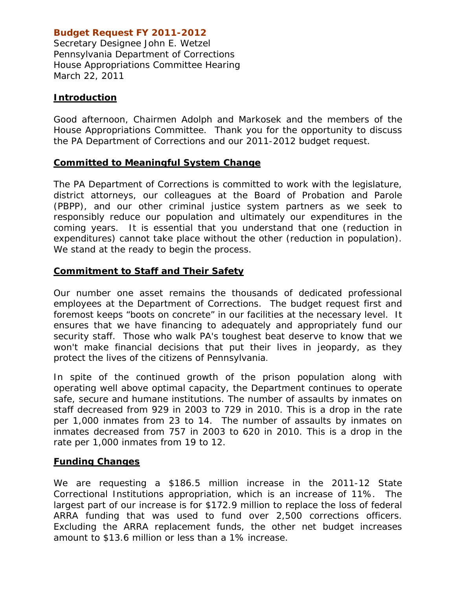# **Budget Request FY 2011-2012**

*Secretary Designee John E. Wetzel Pennsylvania Department of Corrections House Appropriations Committee Hearing March 22, 2011* 

### **Introduction**

Good afternoon, Chairmen Adolph and Markosek and the members of the House Appropriations Committee. Thank you for the opportunity to discuss the PA Department of Corrections and our 2011-2012 budget request.

#### **Committed to Meaningful System Change**

The PA Department of Corrections is committed to work with the legislature, district attorneys, our colleagues at the Board of Probation and Parole (PBPP), and our other criminal justice system partners as we seek to responsibly reduce our population and ultimately our expenditures in the coming years. It is essential that you understand that one (reduction in expenditures) cannot take place without the other (reduction in population). We stand at the ready to begin the process.

## **Commitment to Staff and Their Safety**

Our number one asset remains the thousands of dedicated professional employees at the Department of Corrections. The budget request first and foremost keeps "boots on concrete" in our facilities at the necessary level. It ensures that we have financing to adequately and appropriately fund our security staff. Those who walk PA's toughest beat deserve to know that we won't make financial decisions that put their lives in jeopardy, as they protect the lives of the citizens of Pennsylvania.

In spite of the continued growth of the prison population along with operating well above optimal capacity, the Department continues to operate safe, secure and humane institutions. The number of assaults by inmates on staff decreased from 929 in 2003 to 729 in 2010. This is a drop in the rate per 1,000 inmates from 23 to 14. The number of assaults by inmates on inmates decreased from 757 in 2003 to 620 in 2010. This is a drop in the rate per 1,000 inmates from 19 to 12.

#### **Funding Changes**

We are requesting a \$186.5 million increase in the 2011-12 State Correctional Institutions appropriation, which is an increase of 11%. The largest part of our increase is for \$172.9 million to replace the loss of federal ARRA funding that was used to fund over 2,500 corrections officers. Excluding the ARRA replacement funds, the other net budget increases amount to \$13.6 million or less than a 1% increase.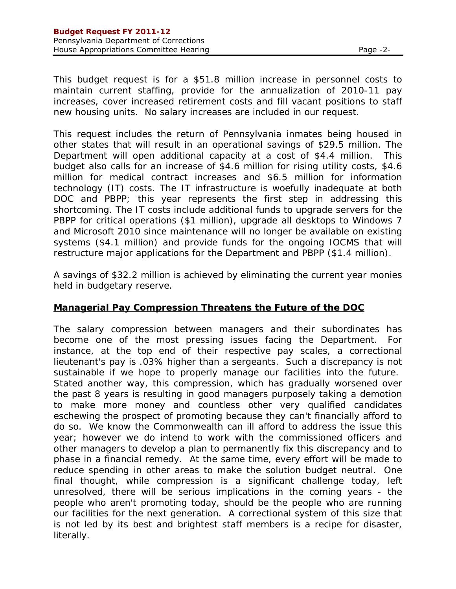This budget request is for a \$51.8 million increase in personnel costs to maintain current staffing, provide for the annualization of 2010-11 pay increases, cover increased retirement costs and fill vacant positions to staff new housing units. No salary increases are included in our request.

This request includes the return of Pennsylvania inmates being housed in other states that will result in an operational savings of \$29.5 million. The Department will open additional capacity at a cost of \$4.4 million. This budget also calls for an increase of \$4.6 million for rising utility costs, \$4.6 million for medical contract increases and \$6.5 million for information technology (IT) costs. The IT infrastructure is woefully inadequate at both DOC and PBPP; this year represents the first step in addressing this shortcoming. The IT costs include additional funds to upgrade servers for the PBPP for critical operations (\$1 million), upgrade all desktops to Windows 7 and Microsoft 2010 since maintenance will no longer be available on existing systems (\$4.1 million) and provide funds for the ongoing IOCMS that will restructure major applications for the Department and PBPP (\$1.4 million).

A savings of \$32.2 million is achieved by eliminating the current year monies held in budgetary reserve.

#### **Managerial Pay Compression Threatens the Future of the DOC**

The salary compression between managers and their subordinates has become one of the most pressing issues facing the Department. For instance, at the top end of their respective pay scales, a correctional lieutenant's pay is .03% higher than a sergeants. Such a discrepancy is not sustainable if we hope to properly manage our facilities into the future. Stated another way, this compression, which has gradually worsened over the past 8 years is resulting in good managers purposely taking a demotion to make more money and countless other very qualified candidates eschewing the prospect of promoting because they can't financially afford to do so. We know the Commonwealth can ill afford to address the issue this year; however we do intend to work with the commissioned officers and other managers to develop a plan to permanently fix this discrepancy and to phase in a financial remedy. At the same time, every effort will be made to reduce spending in other areas to make the solution budget neutral. One final thought, while compression is a significant challenge today, left unresolved, there will be serious implications in the coming years - the people who aren't promoting today, should be the people who are running our facilities for the next generation. A correctional system of this size that is not led by its best and brightest staff members is a recipe for disaster, literally.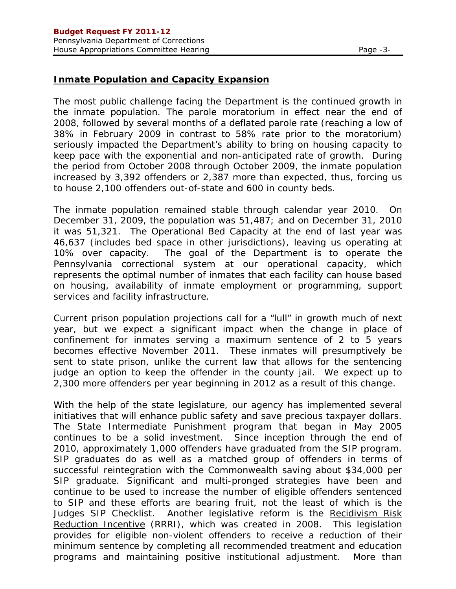# **Inmate Population and Capacity Expansion**

The most public challenge facing the Department is the continued growth in the inmate population. The parole moratorium in effect near the end of 2008, followed by several months of a deflated parole rate (reaching a low of 38% in February 2009 in contrast to 58% rate prior to the moratorium) seriously impacted the Department's ability to bring on housing capacity to keep pace with the exponential and non-anticipated rate of growth. During the period from October 2008 through October 2009, the inmate population increased by 3,392 offenders or 2,387 more than expected, thus, forcing us to house 2,100 offenders out-of-state and 600 in county beds.

The inmate population remained stable through calendar year 2010. On December 31, 2009, the population was 51,487; and on December 31, 2010 it was 51,321. The Operational Bed Capacity at the end of last year was 46,637 (includes bed space in other jurisdictions), leaving us operating at 10% over capacity. The goal of the Department is to operate the Pennsylvania correctional system at our operational capacity, which represents the optimal number of inmates that each facility can house based on housing, availability of inmate employment or programming, support services and facility infrastructure.

Current prison population projections call for a "lull" in growth much of next year, but we expect a significant impact when the change in place of confinement for inmates serving a maximum sentence of 2 to 5 years becomes effective November 2011. These inmates will presumptively be sent to state prison, unlike the current law that allows for the sentencing judge an option to keep the offender in the county jail. We expect up to 2,300 more offenders per year beginning in 2012 as a result of this change.

With the help of the state legislature, our agency has implemented several initiatives that will enhance public safety and save precious taxpayer dollars. The State Intermediate Punishment program that began in May 2005 continues to be a solid investment. Since inception through the end of 2010, approximately 1,000 offenders have graduated from the SIP program. SIP graduates do as well as a matched group of offenders in terms of successful reintegration with the Commonwealth saving about \$34,000 per SIP graduate. Significant and multi-pronged strategies have been and continue to be used to increase the number of eligible offenders sentenced to SIP and these efforts are bearing fruit, not the least of which is the Judges SIP Checklist. Another legislative reform is the Recidivism Risk Reduction Incentive (RRRI), which was created in 2008. This legislation provides for eligible non-violent offenders to receive a reduction of their minimum sentence by completing all recommended treatment and education programs and maintaining positive institutional adjustment. More than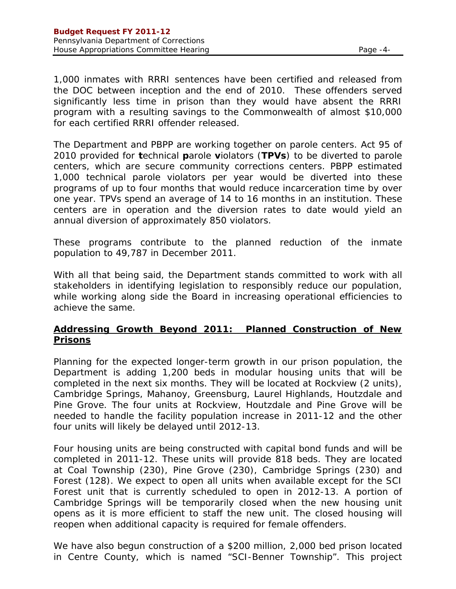1,000 inmates with RRRI sentences have been certified and released from the DOC between inception and the end of 2010. These offenders served significantly less time in prison than they would have absent the RRRI program with a resulting savings to the Commonwealth of almost \$10,000 for each certified RRRI offender released.

The Department and PBPP are working together on parole centers. Act 95 of 2010 provided for **t**echnical **p**arole **v**iolators (**TPVs**) to be diverted to parole centers, which are secure community corrections centers. PBPP estimated 1,000 technical parole violators per year would be diverted into these programs of up to four months that would reduce incarceration time by over one year. TPVs spend an average of 14 to 16 months in an institution. These centers are in operation and the diversion rates to date would yield an annual diversion of approximately 850 violators.

These programs contribute to the planned reduction of the inmate population to 49,787 in December 2011.

With all that being said, the Department stands committed to work with all stakeholders in identifying legislation to responsibly reduce our population, while working along side the Board in increasing operational efficiencies to achieve the same.

## **Addressing Growth Beyond 2011: Planned Construction of New Prisons**

Planning for the expected longer-term growth in our prison population, the Department is adding 1,200 beds in modular housing units that will be completed in the next six months. They will be located at Rockview (2 units), Cambridge Springs, Mahanoy, Greensburg, Laurel Highlands, Houtzdale and Pine Grove. The four units at Rockview, Houtzdale and Pine Grove will be needed to handle the facility population increase in 2011-12 and the other four units will likely be delayed until 2012-13.

Four housing units are being constructed with capital bond funds and will be completed in 2011-12. These units will provide 818 beds. They are located at Coal Township (230), Pine Grove (230), Cambridge Springs (230) and Forest (128). We expect to open all units when available except for the SCI Forest unit that is currently scheduled to open in 2012-13. A portion of Cambridge Springs will be temporarily closed when the new housing unit opens as it is more efficient to staff the new unit. The closed housing will reopen when additional capacity is required for female offenders.

We have also begun construction of a \$200 million, 2,000 bed prison located in Centre County, which is named "SCI-Benner Township". This project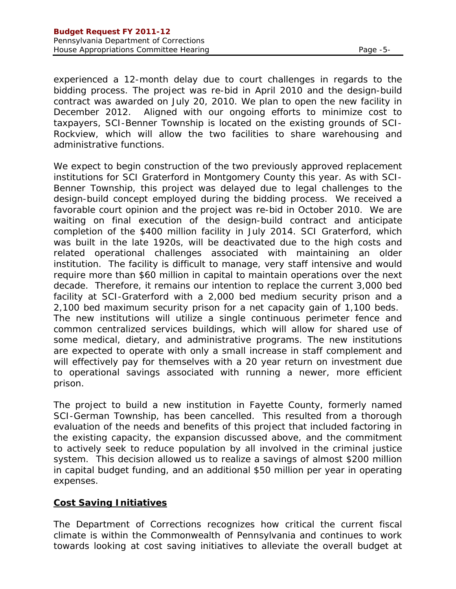experienced a 12-month delay due to court challenges in regards to the bidding process. The project was re-bid in April 2010 and the design-build contract was awarded on July 20, 2010. We plan to open the new facility in December 2012. Aligned with our ongoing efforts to minimize cost to taxpayers, SCI-Benner Township is located on the existing grounds of SCI-Rockview, which will allow the two facilities to share warehousing and administrative functions.

We expect to begin construction of the two previously approved replacement institutions for SCI Graterford in Montgomery County this year. As with SCI-Benner Township, this project was delayed due to legal challenges to the design-build concept employed during the bidding process. We received a favorable court opinion and the project was re-bid in October 2010. We are waiting on final execution of the design-build contract and anticipate completion of the \$400 million facility in July 2014. SCI Graterford, which was built in the late 1920s, will be deactivated due to the high costs and related operational challenges associated with maintaining an older institution. The facility is difficult to manage, very staff intensive and would require more than \$60 million in capital to maintain operations over the next decade. Therefore, it remains our intention to replace the current 3,000 bed facility at SCI-Graterford with a 2,000 bed medium security prison and a 2,100 bed maximum security prison for a net capacity gain of 1,100 beds. The new institutions will utilize a single continuous perimeter fence and common centralized services buildings, which will allow for shared use of some medical, dietary, and administrative programs. The new institutions are expected to operate with only a small increase in staff complement and will effectively pay for themselves with a 20 year return on investment due to operational savings associated with running a newer, more efficient prison.

The project to build a new institution in Fayette County, formerly named SCI-German Township, has been cancelled. This resulted from a thorough evaluation of the needs and benefits of this project that included factoring in the existing capacity, the expansion discussed above, and the commitment to actively seek to reduce population by all involved in the criminal justice system. This decision allowed us to realize a savings of almost \$200 million in capital budget funding, and an additional \$50 million per year in operating expenses.

#### **Cost Saving Initiatives**

The Department of Corrections recognizes how critical the current fiscal climate is within the Commonwealth of Pennsylvania and continues to work towards looking at cost saving initiatives to alleviate the overall budget at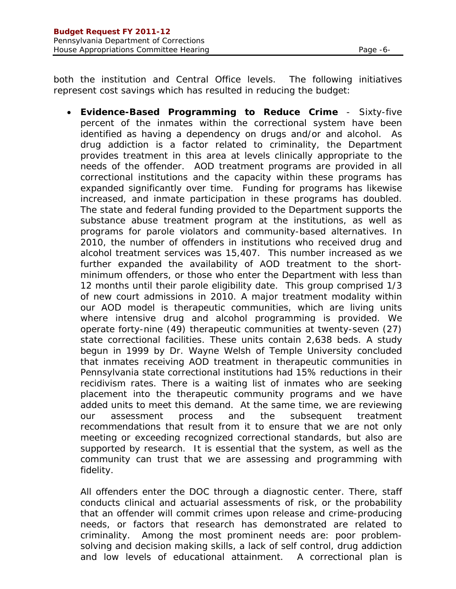both the institution and Central Office levels. The following initiatives represent cost savings which has resulted in reducing the budget:

 **Evidence-Based Programming to Reduce Crime** - Sixty-five percent of the inmates within the correctional system have been identified as having a dependency on drugs and/or and alcohol. As drug addiction is a factor related to criminality, the Department provides treatment in this area at levels clinically appropriate to the needs of the offender. AOD treatment programs are provided in all correctional institutions and the capacity within these programs has expanded significantly over time. Funding for programs has likewise increased, and inmate participation in these programs has doubled. The state and federal funding provided to the Department supports the substance abuse treatment program at the institutions, as well as programs for parole violators and community-based alternatives. In 2010, the number of offenders in institutions who received drug and alcohol treatment services was 15,407. This number increased as we further expanded the availability of AOD treatment to the shortminimum offenders, or those who enter the Department with less than 12 months until their parole eligibility date. This group comprised 1/3 of new court admissions in 2010. A major treatment modality within our AOD model is therapeutic communities, which are living units where intensive drug and alcohol programming is provided. We operate forty-nine (49) therapeutic communities at twenty-seven (27) state correctional facilities. These units contain 2,638 beds. A study begun in 1999 by Dr. Wayne Welsh of Temple University concluded that inmates receiving AOD treatment in therapeutic communities in Pennsylvania state correctional institutions had 15% reductions in their recidivism rates. There is a waiting list of inmates who are seeking placement into the therapeutic community programs and we have added units to meet this demand. At the same time, we are reviewing our assessment process and the subsequent treatment recommendations that result from it to ensure that we are not only meeting or exceeding recognized correctional standards, but also are supported by research. It is essential that the system, as well as the community can trust that we are assessing and programming with fidelity.

All offenders enter the DOC through a diagnostic center. There, staff conducts clinical and actuarial assessments of risk, or the probability that an offender will commit crimes upon release and crime-producing needs, or factors that research has demonstrated are related to criminality. Among the most prominent needs are: poor problemsolving and decision making skills, a lack of self control, drug addiction and low levels of educational attainment. A correctional plan is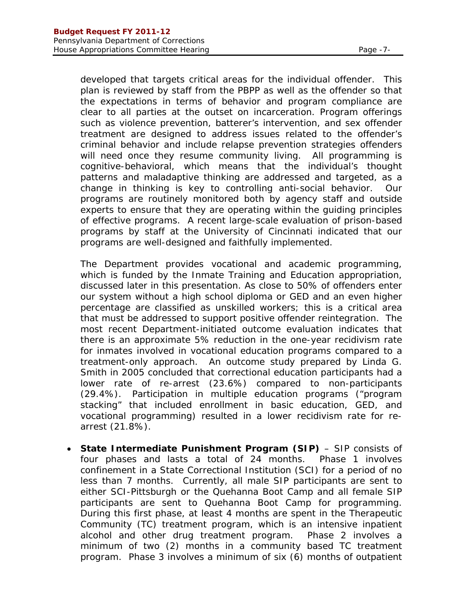developed that targets critical areas for the individual offender. This plan is reviewed by staff from the PBPP as well as the offender so that the expectations in terms of behavior and program compliance are clear to all parties at the outset on incarceration. Program offerings such as violence prevention, batterer's intervention, and sex offender treatment are designed to address issues related to the offender's criminal behavior and include relapse prevention strategies offenders will need once they resume community living. All programming is cognitive-behavioral, which means that the individual's thought patterns and maladaptive thinking are addressed and targeted, as a change in thinking is key to controlling anti-social behavior. Our programs are routinely monitored both by agency staff and outside experts to ensure that they are operating within the guiding principles of effective programs. A recent large-scale evaluation of prison-based programs by staff at the University of Cincinnati indicated that our programs are well-designed and faithfully implemented.

The Department provides vocational and academic programming, which is funded by the Inmate Training and Education appropriation, discussed later in this presentation. As close to 50% of offenders enter our system without a high school diploma or GED and an even higher percentage are classified as unskilled workers; this is a critical area that must be addressed to support positive offender reintegration. The most recent Department-initiated outcome evaluation indicates that there is an approximate 5% reduction in the one-year recidivism rate for inmates involved in vocational education programs compared to a treatment-only approach. An outcome study prepared by Linda G. Smith in 2005 concluded that correctional education participants had a lower rate of re-arrest (23.6%) compared to non-participants (29.4%). Participation in multiple education programs ("program stacking" that included enrollment in basic education, GED, and vocational programming) resulted in a lower recidivism rate for rearrest (21.8%).

 **State Intermediate Punishment Program (SIP)** – SIP consists of four phases and lasts a total of 24 months. Phase 1 involves confinement in a State Correctional Institution (SCI) for a period of no less than 7 months. Currently, all male SIP participants are sent to either SCI-Pittsburgh or the Quehanna Boot Camp and all female SIP participants are sent to Quehanna Boot Camp for programming. During this first phase, at least 4 months are spent in the Therapeutic Community (TC) treatment program, which is an intensive inpatient alcohol and other drug treatment program. Phase 2 involves a minimum of two (2) months in a community based TC treatment program. Phase 3 involves a minimum of six (6) months of outpatient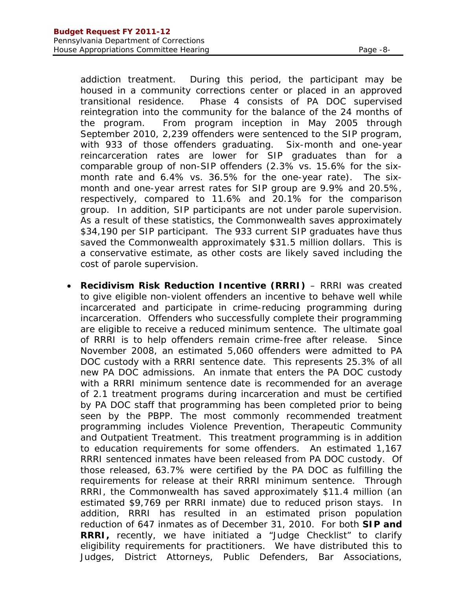addiction treatment. During this period, the participant may be housed in a community corrections center or placed in an approved transitional residence. Phase 4 consists of PA DOC supervised reintegration into the community for the balance of the 24 months of the program. From program inception in May 2005 through September 2010, 2,239 offenders were sentenced to the SIP program, with 933 of those offenders graduating. Six-month and one-year reincarceration rates are lower for SIP graduates than for a comparable group of non-SIP offenders (2.3% vs. 15.6% for the sixmonth rate and 6.4% vs. 36.5% for the one-year rate). The sixmonth and one-year arrest rates for SIP group are 9.9% and 20.5%, respectively, compared to 11.6% and 20.1% for the comparison group. In addition, SIP participants are not under parole supervision. As a result of these statistics, the Commonwealth saves approximately \$34,190 per SIP participant. The 933 current SIP graduates have thus saved the Commonwealth approximately \$31.5 million dollars. This is a conservative estimate, as other costs are likely saved including the cost of parole supervision.

**Recidivism Risk Reduction Incentive (RRRI)** – RRRI was created to give eligible non-violent offenders an incentive to behave well while incarcerated and participate in crime-reducing programming during incarceration. Offenders who successfully complete their programming are eligible to receive a reduced minimum sentence. The ultimate goal of RRRI is to help offenders remain crime-free after release. Since November 2008, an estimated 5,060 offenders were admitted to PA DOC custody with a RRRI sentence date. This represents 25.3% of all new PA DOC admissions. An inmate that enters the PA DOC custody with a RRRI minimum sentence date is recommended for an average of 2.1 treatment programs during incarceration and must be certified by PA DOC staff that programming has been completed prior to being seen by the PBPP. The most commonly recommended treatment programming includes Violence Prevention, Therapeutic Community and Outpatient Treatment. This treatment programming is in addition to education requirements for some offenders. An estimated 1,167 RRRI sentenced inmates have been released from PA DOC custody. Of those released, 63.7% were certified by the PA DOC as fulfilling the requirements for release at their RRRI minimum sentence. Through RRRI, the Commonwealth has saved approximately \$11.4 million (an estimated \$9,769 per RRRI inmate) due to reduced prison stays. In addition, RRRI has resulted in an estimated prison population reduction of 647 inmates as of December 31, 2010. For both **SIP and RRRI,** recently, we have initiated a "Judge Checklist" to clarify eligibility requirements for practitioners. We have distributed this to Judges, District Attorneys, Public Defenders, Bar Associations,